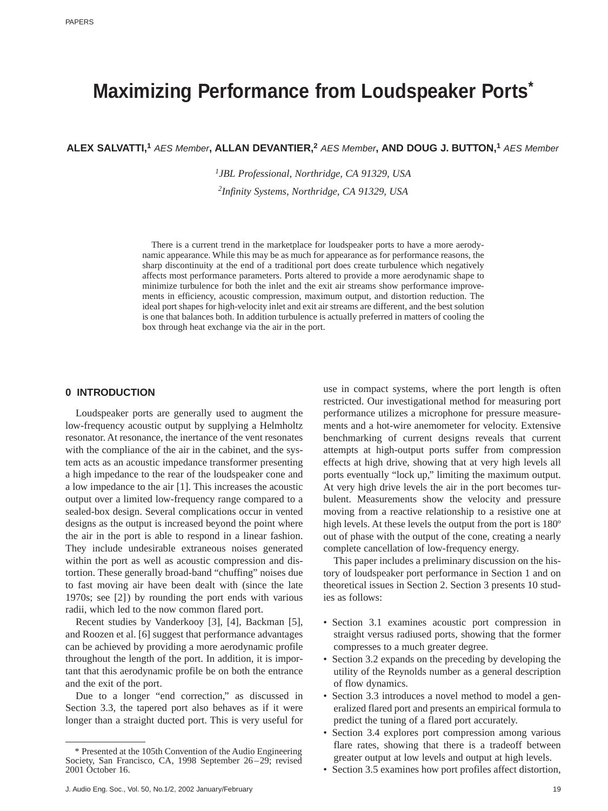# **Maximizing Performance from Loudspeaker Ports\***

# **ALEX SALVATTI,1** AES Member**, ALLAN DEVANTIER,2** AES Member**, AND DOUG J. BUTTON,1** AES Member

*1JBL Professional, Northridge, CA 91329, USA 2Infinity Systems, Northridge, CA 91329, USA*

There is a current trend in the marketplace for loudspeaker ports to have a more aerodynamic appearance. While this may be as much for appearance as for performance reasons, the sharp discontinuity at the end of a traditional port does create turbulence which negatively affects most performance parameters. Ports altered to provide a more aerodynamic shape to minimize turbulence for both the inlet and the exit air streams show performance improvements in efficiency, acoustic compression, maximum output, and distortion reduction. The ideal port shapes for high-velocity inlet and exit air streams are different, and the best solution is one that balances both. In addition turbulence is actually preferred in matters of cooling the box through heat exchange via the air in the port.

#### **0 INTRODUCTION**

Loudspeaker ports are generally used to augment the low-frequency acoustic output by supplying a Helmholtz resonator. At resonance, the inertance of the vent resonates with the compliance of the air in the cabinet, and the system acts as an acoustic impedance transformer presenting a high impedance to the rear of the loudspeaker cone and a low impedance to the air [1]. This increases the acoustic output over a limited low-frequency range compared to a sealed-box design. Several complications occur in vented designs as the output is increased beyond the point where the air in the port is able to respond in a linear fashion. They include undesirable extraneous noises generated within the port as well as acoustic compression and distortion. These generally broad-band "chuffing" noises due to fast moving air have been dealt with (since the late 1970s; see [2]) by rounding the port ends with various radii, which led to the now common flared port.

Recent studies by Vanderkooy [3], [4], Backman [5], and Roozen et al. [6] suggest that performance advantages can be achieved by providing a more aerodynamic profile throughout the length of the port. In addition, it is important that this aerodynamic profile be on both the entrance and the exit of the port.

Due to a longer "end correction," as discussed in Section 3.3, the tapered port also behaves as if it were longer than a straight ducted port. This is very useful for use in compact systems, where the port length is often restricted. Our investigational method for measuring port performance utilizes a microphone for pressure measurements and a hot-wire anemometer for velocity. Extensive benchmarking of current designs reveals that current attempts at high-output ports suffer from compression effects at high drive, showing that at very high levels all ports eventually "lock up," limiting the maximum output. At very high drive levels the air in the port becomes turbulent. Measurements show the velocity and pressure moving from a reactive relationship to a resistive one at high levels. At these levels the output from the port is 180º out of phase with the output of the cone, creating a nearly complete cancellation of low-frequency energy.

This paper includes a preliminary discussion on the history of loudspeaker port performance in Section 1 and on theoretical issues in Section 2. Section 3 presents 10 studies as follows:

- Section 3.1 examines acoustic port compression in straight versus radiused ports, showing that the former compresses to a much greater degree.
- Section 3.2 expands on the preceding by developing the utility of the Reynolds number as a general description of flow dynamics.
- Section 3.3 introduces a novel method to model a generalized flared port and presents an empirical formula to predict the tuning of a flared port accurately.
- Section 3.4 explores port compression among various flare rates, showing that there is a tradeoff between greater output at low levels and output at high levels.
- Section 3.5 examines how port profiles affect distortion,

<sup>\*</sup> Presented at the 105th Convention of the Audio Engineering Society, San Francisco, CA, 1998 September 26 –29; revised 2001 October 16.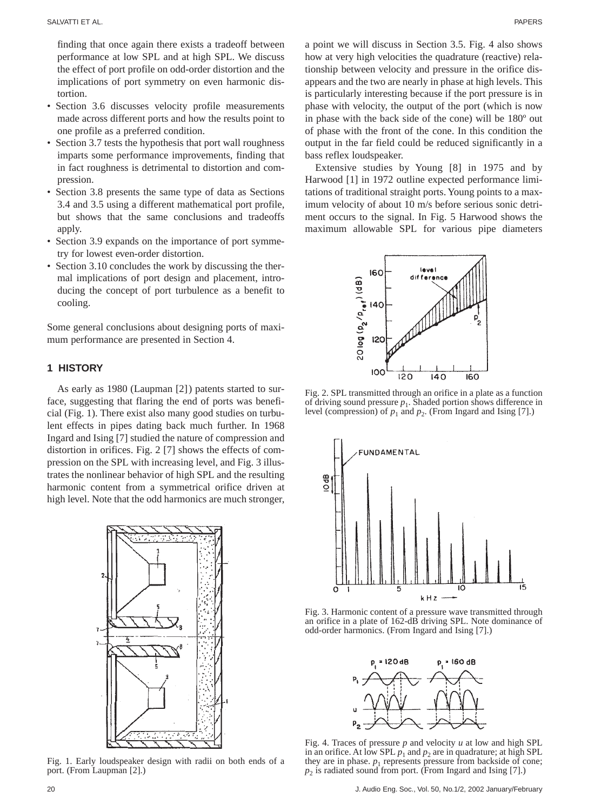finding that once again there exists a tradeoff between performance at low SPL and at high SPL. We discuss the effect of port profile on odd-order distortion and the implications of port symmetry on even harmonic distortion.

- Section 3.6 discusses velocity profile measurements made across different ports and how the results point to one profile as a preferred condition.
- Section 3.7 tests the hypothesis that port wall roughness imparts some performance improvements, finding that in fact roughness is detrimental to distortion and compression.
- Section 3.8 presents the same type of data as Sections 3.4 and 3.5 using a different mathematical port profile, but shows that the same conclusions and tradeoffs apply.
- Section 3.9 expands on the importance of port symmetry for lowest even-order distortion.
- Section 3.10 concludes the work by discussing the thermal implications of port design and placement, introducing the concept of port turbulence as a benefit to cooling.

Some general conclusions about designing ports of maximum performance are presented in Section 4.

# **1 HISTORY**

As early as 1980 (Laupman [2]) patents started to surface, suggesting that flaring the end of ports was beneficial (Fig. 1). There exist also many good studies on turbulent effects in pipes dating back much further. In 1968 Ingard and Ising [7] studied the nature of compression and distortion in orifices. Fig. 2 [7] shows the effects of compression on the SPL with increasing level, and Fig. 3 illustrates the nonlinear behavior of high SPL and the resulting harmonic content from a symmetrical orifice driven at high level. Note that the odd harmonics are much stronger,



Fig. 1. Early loudspeaker design with radii on both ends of a port. (From Laupman [2].)

a point we will discuss in Section 3.5. Fig. 4 also shows how at very high velocities the quadrature (reactive) relationship between velocity and pressure in the orifice disappears and the two are nearly in phase at high levels. This is particularly interesting because if the port pressure is in phase with velocity, the output of the port (which is now in phase with the back side of the cone) will be 180º out of phase with the front of the cone. In this condition the output in the far field could be reduced significantly in a bass reflex loudspeaker.

Extensive studies by Young [8] in 1975 and by Harwood [1] in 1972 outline expected performance limitations of traditional straight ports. Young points to a maximum velocity of about 10 m/s before serious sonic detriment occurs to the signal. In Fig. 5 Harwood shows the maximum allowable SPL for various pipe diameters



Fig. 2. SPL transmitted through an orifice in a plate as a function of driving sound pressure  $p_1$ . Shaded portion shows difference in level (compression) of  $p_1$  and  $p_2$ . (From Ingard and Ising [7].)



Fig. 3. Harmonic content of a pressure wave transmitted through an orifice in a plate of 162-dB driving SPL. Note dominance of odd-order harmonics. (From Ingard and Ising [7].)



Fig. 4. Traces of pressure *p* and velocity *u* at low and high SPL in an orifice. At low SPL  $p_1$  and  $p_2$  are in quadrature; at high SPL they are in phase.  $p_1$  represents pressure from backside of cone;  $p<sub>2</sub>$  is radiated sound from port. (From Ingard and Ising [7].)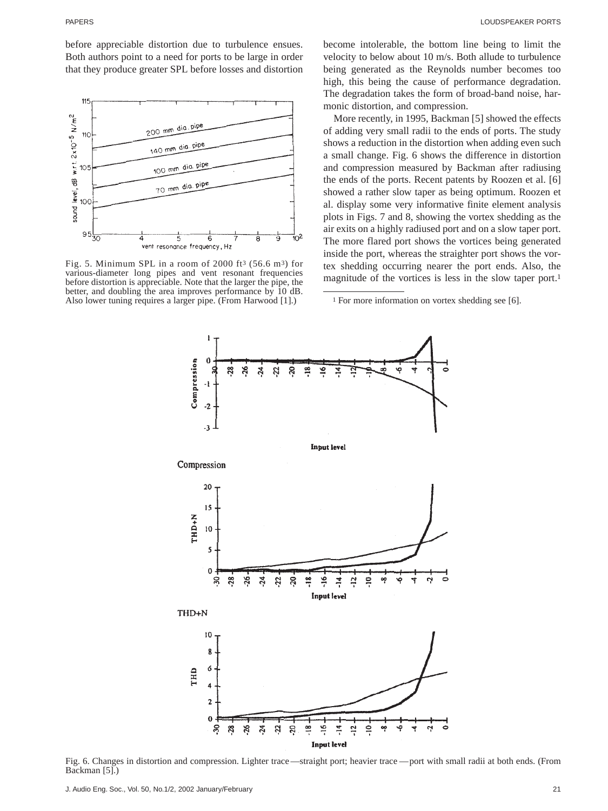PAPERS LOUDSPEAKER PORTS

before appreciable distortion due to turbulence ensues. Both authors point to a need for ports to be large in order that they produce greater SPL before losses and distortion



Fig. 5. Minimum SPL in a room of 2000 ft3 (56.6 m3) for various-diameter long pipes and vent resonant frequencies before distortion is appreciable. Note that the larger the pipe, the better, and doubling the area improves performance by 10 dB. Also lower tuning requires a larger pipe. (From Harwood [1].)

become intolerable, the bottom line being to limit the velocity to below about 10 m/s. Both allude to turbulence being generated as the Reynolds number becomes too high, this being the cause of performance degradation. The degradation takes the form of broad-band noise, harmonic distortion, and compression.

More recently, in 1995, Backman [5] showed the effects of adding very small radii to the ends of ports. The study shows a reduction in the distortion when adding even such a small change. Fig. 6 shows the difference in distortion and compression measured by Backman after radiusing the ends of the ports. Recent patents by Roozen et al. [6] showed a rather slow taper as being optimum. Roozen et al. display some very informative finite element analysis plots in Figs. 7 and 8, showing the vortex shedding as the air exits on a highly radiused port and on a slow taper port. The more flared port shows the vortices being generated inside the port, whereas the straighter port shows the vortex shedding occurring nearer the port ends. Also, the magnitude of the vortices is less in the slow taper port.1

<sup>1</sup> For more information on vortex shedding see [6].



Fig. 6. Changes in distortion and compression. Lighter trace —straight port; heavier trace —port with small radii at both ends. (From Backman [5].)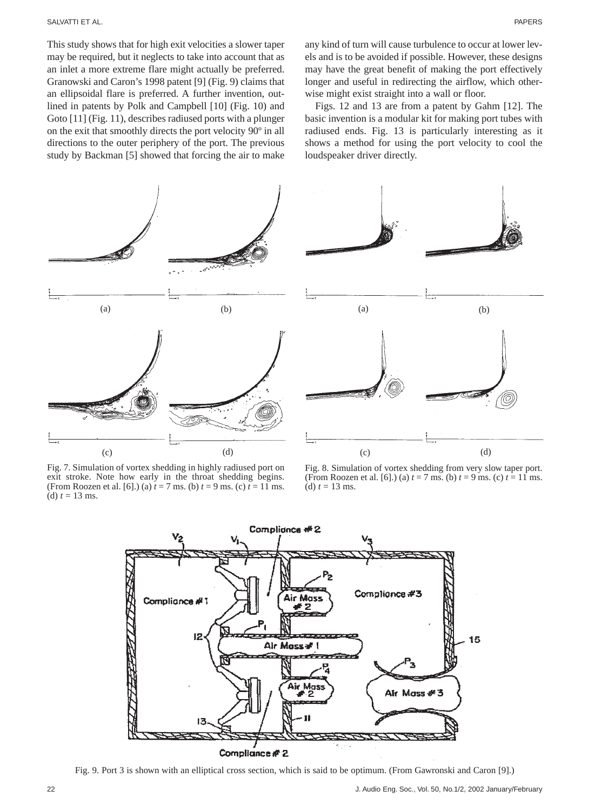This study shows that for high exit velocities a slower taper may be required, but it neglects to take into account that as an inlet a more extreme flare might actually be preferred. Granowski and Caron's 1998 patent [9] (Fig. 9) claims that an ellipsoidal flare is preferred. A further invention, outlined in patents by Polk and Campbell [10] (Fig. 10) and Goto [11] (Fig. 11), describes radiused ports with a plunger on the exit that smoothly directs the port velocity 90º in all directions to the outer periphery of the port. The previous study by Backman [5] showed that forcing the air to make any kind of turn will cause turbulence to occur at lower levels and is to be avoided if possible. However, these designs may have the great benefit of making the port effectively longer and useful in redirecting the airflow, which otherwise might exist straight into a wall or floor.

Figs. 12 and 13 are from a patent by Gahm [12]. The basic invention is a modular kit for making port tubes with radiused ends. Fig. 13 is particularly interesting as it shows a method for using the port velocity to cool the loudspeaker driver directly.



Fig. 7. Simulation of vortex shedding in highly radiused port on exit stroke. Note how early in the throat shedding begins. (From Roozen et al. [6].) (a)  $t = 7$  ms. (b)  $t = 9$  ms. (c)  $t = 11$  ms. (d)  $t = 13$  ms.



Fig. 8. Simulation of vortex shedding from very slow taper port. (From Roozen et al. [6].) (a) *t* = 7 ms. (b) *t* = 9 ms. (c) *t* = 11 ms. (d)  $t = 13$  ms.



Fig. 9. Port 3 is shown with an elliptical cross section, which is said to be optimum. (From Gawronski and Caron [9].)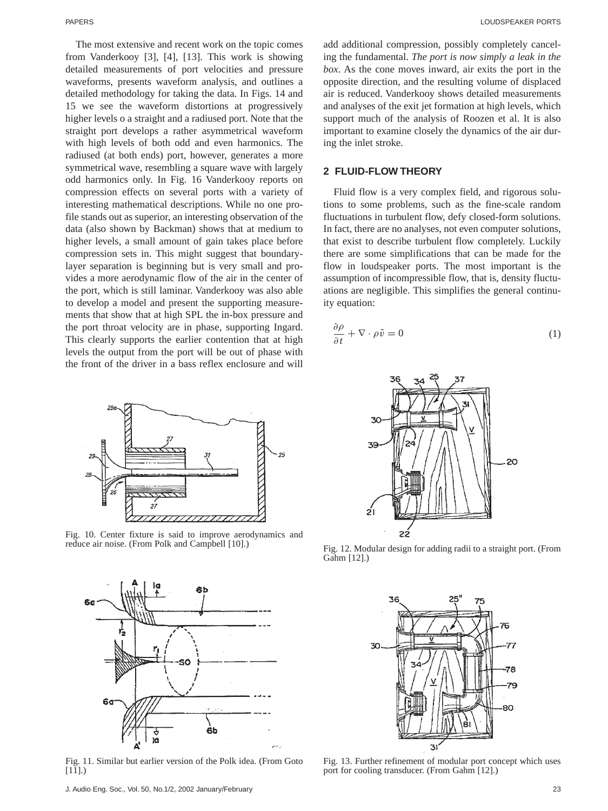The most extensive and recent work on the topic comes from Vanderkooy [3], [4], [13]. This work is showing detailed measurements of port velocities and pressure waveforms, presents waveform analysis, and outlines a detailed methodology for taking the data. In Figs. 14 and 15 we see the waveform distortions at progressively higher levels o a straight and a radiused port. Note that the straight port develops a rather asymmetrical waveform with high levels of both odd and even harmonics. The radiused (at both ends) port, however, generates a more symmetrical wave, resembling a square wave with largely odd harmonics only. In Fig. 16 Vanderkooy reports on compression effects on several ports with a variety of interesting mathematical descriptions. While no one profile stands out as superior, an interesting observation of the data (also shown by Backman) shows that at medium to higher levels, a small amount of gain takes place before compression sets in. This might suggest that boundarylayer separation is beginning but is very small and provides a more aerodynamic flow of the air in the center of the port, which is still laminar. Vanderkooy was also able to develop a model and present the supporting measurements that show that at high SPL the in-box pressure and the port throat velocity are in phase, supporting Ingard. This clearly supports the earlier contention that at high levels the output from the port will be out of phase with the front of the driver in a bass reflex enclosure and will



Fig. 10. Center fixture is said to improve aerodynamics and reduce air noise. (From Polk and Campbell [10].)



Fig. 11. Similar but earlier version of the Polk idea. (From Goto  $[11]$ .)

add additional compression, possibly completely canceling the fundamental. *The port is now simply a leak in the box*. As the cone moves inward, air exits the port in the opposite direction, and the resulting volume of displaced air is reduced. Vanderkooy shows detailed measurements and analyses of the exit jet formation at high levels, which support much of the analysis of Roozen et al. It is also important to examine closely the dynamics of the air during the inlet stroke.

# **2 FLUID-FLOW THEORY**

Fluid flow is a very complex field, and rigorous solutions to some problems, such as the fine-scale random fluctuations in turbulent flow, defy closed-form solutions. In fact, there are no analyses, not even computer solutions, that exist to describe turbulent flow completely. Luckily there are some simplifications that can be made for the flow in loudspeaker ports. The most important is the assumption of incompressible flow, that is, density fluctuations are negligible. This simplifies the general continuity equation:

$$
\frac{\partial \rho}{\partial t} + \nabla \cdot \rho \tilde{v} = 0 \tag{1}
$$



Fig. 12. Modular design for adding radii to a straight port. (From Gahm [12].)



Fig. 13. Further refinement of modular port concept which uses port for cooling transducer. (From Gahm [12].)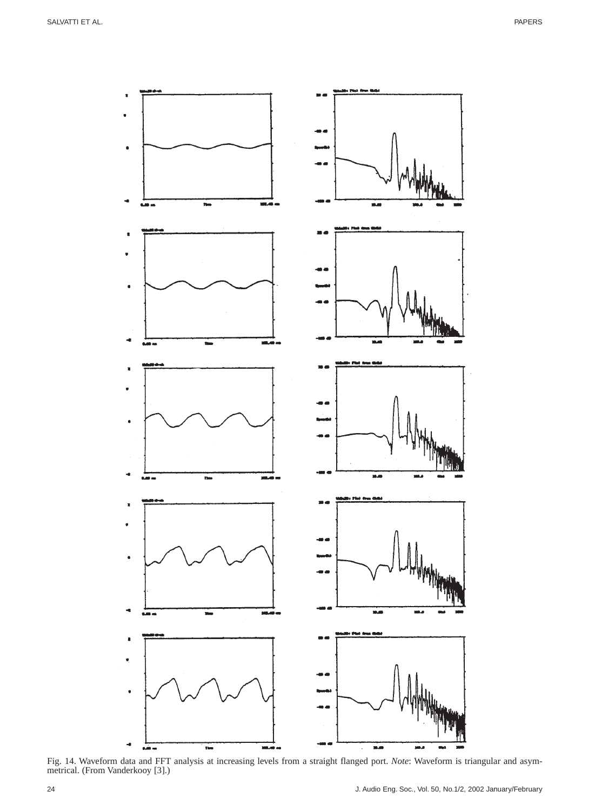

Fig. 14. Waveform data and FFT analysis at increasing levels from a straight flanged port. *Note*: Waveform is triangular and asymmetrical. (From Vanderkooy [3].)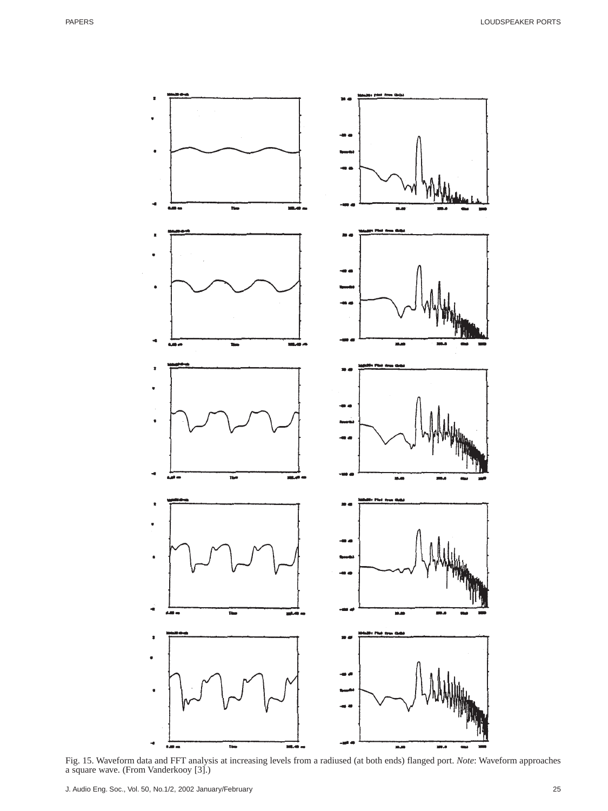

Fig. 15. Waveform data and FFT analysis at increasing levels from a radiused (at both ends) flanged port. *Note*: Waveform approaches a square wave. (From Vanderkooy [3].)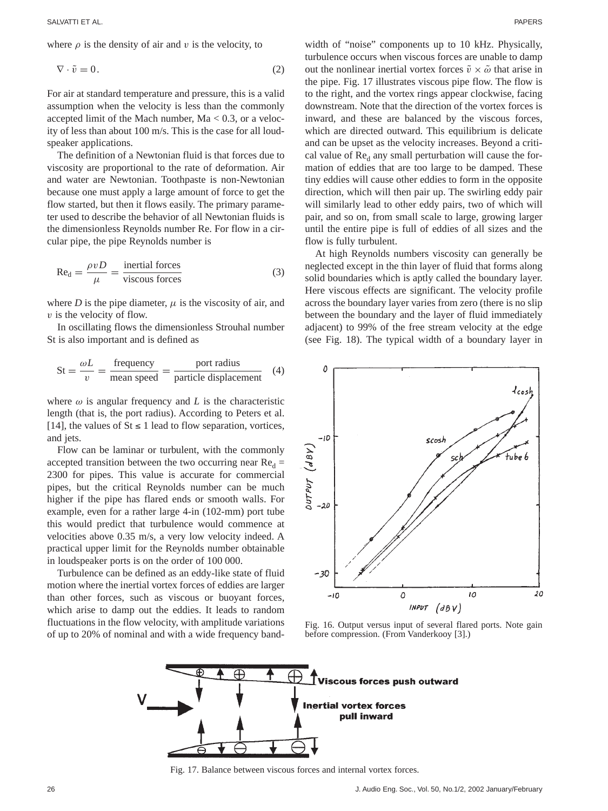where  $\rho$  is the density of air and v is the velocity, to

$$
\nabla \cdot \tilde{v} = 0. \tag{2}
$$

For air at standard temperature and pressure, this is a valid assumption when the velocity is less than the commonly accepted limit of the Mach number,  $Ma < 0.3$ , or a velocity of less than about 100 m/s. This is the case for all loudspeaker applications.

The definition of a Newtonian fluid is that forces due to viscosity are proportional to the rate of deformation. Air and water are Newtonian. Toothpaste is non-Newtonian because one must apply a large amount of force to get the flow started, but then it flows easily. The primary parameter used to describe the behavior of all Newtonian fluids is the dimensionless Reynolds number Re. For flow in a circular pipe, the pipe Reynolds number is

$$
Red = \frac{\rho v D}{\mu} = \frac{\text{inertial forces}}{\text{viscous forces}}
$$
 (3)

where *D* is the pipe diameter,  $\mu$  is the viscosity of air, and  $v$  is the velocity of flow.

In oscillating flows the dimensionless Strouhal number St is also important and is defined as

St = 
$$
\frac{\omega L}{v}
$$
 =  $\frac{\text{frequency}}{\text{mean speed}}$  =  $\frac{\text{port radius}}{\text{particle displacement}}$  (4)

where  $\omega$  is angular frequency and *L* is the characteristic length (that is, the port radius). According to Peters et al. [14], the values of  $St \leq 1$  lead to flow separation, vortices, and jets.

Flow can be laminar or turbulent, with the commonly accepted transition between the two occurring near  $Re<sub>d</sub>$  = 2300 for pipes. This value is accurate for commercial pipes, but the critical Reynolds number can be much higher if the pipe has flared ends or smooth walls. For example, even for a rather large 4-in (102-mm) port tube this would predict that turbulence would commence at velocities above 0.35 m/s, a very low velocity indeed. A practical upper limit for the Reynolds number obtainable in loudspeaker ports is on the order of 100 000.

Turbulence can be defined as an eddy-like state of fluid motion where the inertial vortex forces of eddies are larger than other forces, such as viscous or buoyant forces, which arise to damp out the eddies. It leads to random fluctuations in the flow velocity, with amplitude variations of up to 20% of nominal and with a wide frequency bandwidth of "noise" components up to 10 kHz. Physically, turbulence occurs when viscous forces are unable to damp out the nonlinear inertial vortex forces  $\tilde{v} \times \tilde{\omega}$  that arise in the pipe. Fig. 17 illustrates viscous pipe flow. The flow is to the right, and the vortex rings appear clockwise, facing downstream. Note that the direction of the vortex forces is inward, and these are balanced by the viscous forces, which are directed outward. This equilibrium is delicate and can be upset as the velocity increases. Beyond a critical value of  $\text{Re}_{d}$  any small perturbation will cause the formation of eddies that are too large to be damped. These tiny eddies will cause other eddies to form in the opposite direction, which will then pair up. The swirling eddy pair will similarly lead to other eddy pairs, two of which will pair, and so on, from small scale to large, growing larger until the entire pipe is full of eddies of all sizes and the flow is fully turbulent.

At high Reynolds numbers viscosity can generally be neglected except in the thin layer of fluid that forms along solid boundaries which is aptly called the boundary layer. Here viscous effects are significant. The velocity profile across the boundary layer varies from zero (there is no slip between the boundary and the layer of fluid immediately adjacent) to 99% of the free stream velocity at the edge (see Fig. 18). The typical width of a boundary layer in



Fig. 16. Output versus input of several flared ports. Note gain before compression. (From Vanderkooy [3].)



Fig. 17. Balance between viscous forces and internal vortex forces.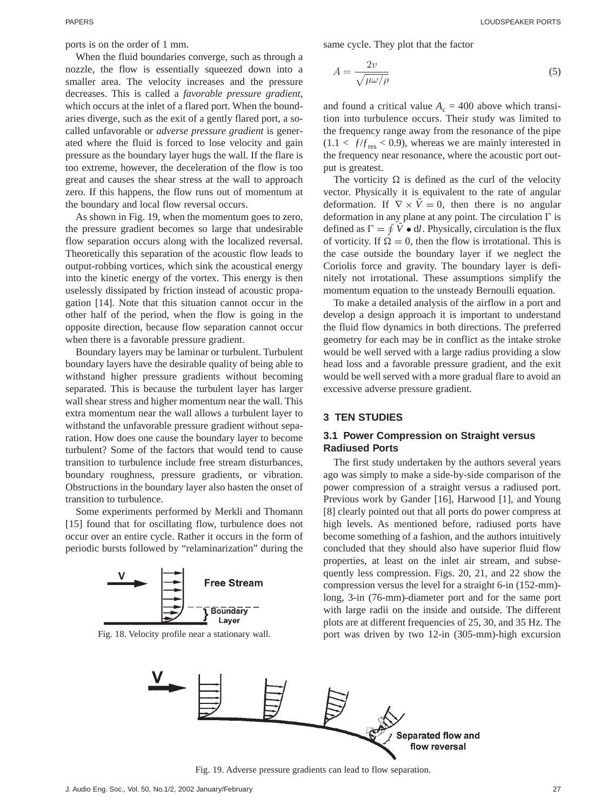ports is on the order of 1 mm.

When the fluid boundaries converge, such as through a nozzle, the flow is essentially squeezed down into a smaller area. The velocity increases and the pressure decreases. This is called a *favorable pressure gradient*, which occurs at the inlet of a flared port. When the boundaries diverge, such as the exit of a gently flared port, a socalled unfavorable or *adverse pressure gradient* is generated where the fluid is forced to lose velocity and gain pressure as the boundary layer hugs the wall. If the flare is too extreme, however, the deceleration of the flow is too great and causes the shear stress at the wall to approach zero. If this happens, the flow runs out of momentum at the boundary and local flow reversal occurs.

As shown in Fig. 19, when the momentum goes to zero, the pressure gradient becomes so large that undesirable flow separation occurs along with the localized reversal. Theoretically this separation of the acoustic flow leads to output-robbing vortices, which sink the acoustical energy into the kinetic energy of the vortex. This energy is then uselessly dissipated by friction instead of acoustic propagation [14]. Note that this situation cannot occur in the other half of the period, when the flow is going in the opposite direction, because flow separation cannot occur when there is a favorable pressure gradient.

Boundary layers may be laminar or turbulent. Turbulent boundary layers have the desirable quality of being able to withstand higher pressure gradients without becoming separated. This is because the turbulent layer has larger wall shear stress and higher momentum near the wall. This extra momentum near the wall allows a turbulent layer to withstand the unfavorable pressure gradient without separation. How does one cause the boundary layer to become turbulent? Some of the factors that would tend to cause transition to turbulence include free stream disturbances, boundary roughness, pressure gradients, or vibration. Obstructions in the boundary layer also hasten the onset of transition to turbulence.

Some experiments performed by Merkli and Thomann [15] found that for oscillating flow, turbulence does not occur over an entire cycle. Rather it occurs in the form of periodic bursts followed by "relaminarization" during the



Fig. 18. Velocity profile near a stationary wall.

same cycle. They plot that the factor

$$
A = \frac{2v}{\sqrt{\mu \omega / \rho}}\tag{5}
$$

and found a critical value  $A_c = 400$  above which transition into turbulence occurs. Their study was limited to the frequency range away from the resonance of the pipe  $(1.1 < f/f_{res} < 0.9)$ , whereas we are mainly interested in the frequency near resonance, where the acoustic port output is greatest.

The vorticity  $\Omega$  is defined as the curl of the velocity vector. Physically it is equivalent to the rate of angular deformation. If  $\nabla \times \tilde{V} = 0$ , then there is no angular deformation in any plane at any point. The circulation  $\Gamma$  is defined as  $\Gamma = \oint \hat{V} \cdot d\hat{l}$ . Physically, circulation is the flux of vorticity. If  $\Omega = 0$ , then the flow is irrotational. This is the case outside the boundary layer if we neglect the Coriolis force and gravity. The boundary layer is definitely not irrotational. These assumptions simplify the momentum equation to the unsteady Bernoulli equation.

To make a detailed analysis of the airflow in a port and develop a design approach it is important to understand the fluid flow dynamics in both directions. The preferred geometry for each may be in conflict as the intake stroke would be well served with a large radius providing a slow head loss and a favorable pressure gradient, and the exit would be well served with a more gradual flare to avoid an excessive adverse pressure gradient.

# **3 TEN STUDIES**

# **3.1 Power Compression on Straight versus Radiused Ports**

The first study undertaken by the authors several years ago was simply to make a side-by-side comparison of the power compression of a straight versus a radiused port. Previous work by Gander [16], Harwood [1], and Young [8] clearly pointed out that all ports do power compress at high levels. As mentioned before, radiused ports have become something of a fashion, and the authors intuitively concluded that they should also have superior fluid flow properties, at least on the inlet air stream, and subsequently less compression. Figs. 20, 21, and 22 show the compression versus the level for a straight 6-in (152-mm) long, 3-in (76-mm)-diameter port and for the same port with large radii on the inside and outside. The different plots are at different frequencies of 25, 30, and 35 Hz. The port was driven by two 12-in (305-mm)-high excursion



Fig. 19. Adverse pressure gradients can lead to flow separation.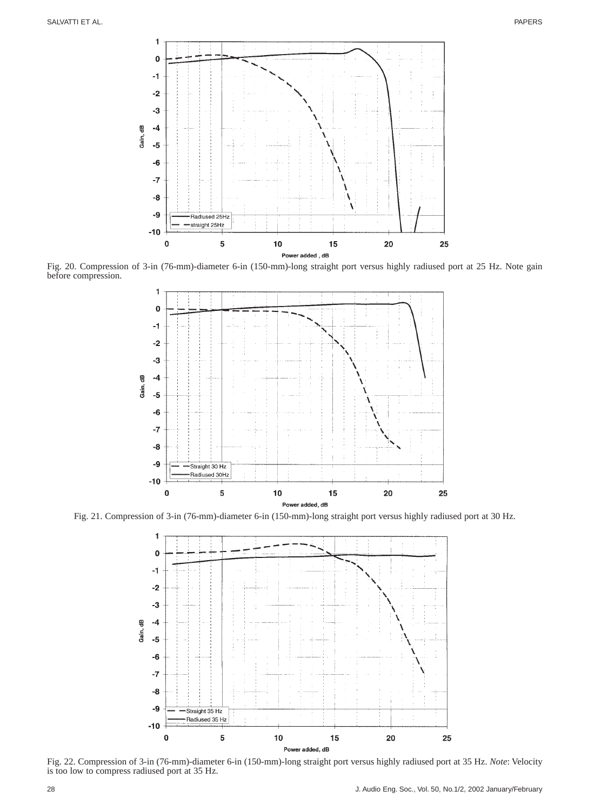

Fig. 20. Compression of 3-in (76-mm)-diameter 6-in (150-mm)-long straight port versus highly radiused port at 25 Hz. Note gain before compression.



Fig. 21. Compression of 3-in (76-mm)-diameter 6-in (150-mm)-long straight port versus highly radiused port at 30 Hz.



Fig. 22. Compression of 3-in (76-mm)-diameter 6-in (150-mm)-long straight port versus highly radiused port at 35 Hz. *Note*: Velocity is too low to compress radiused port at 35 Hz.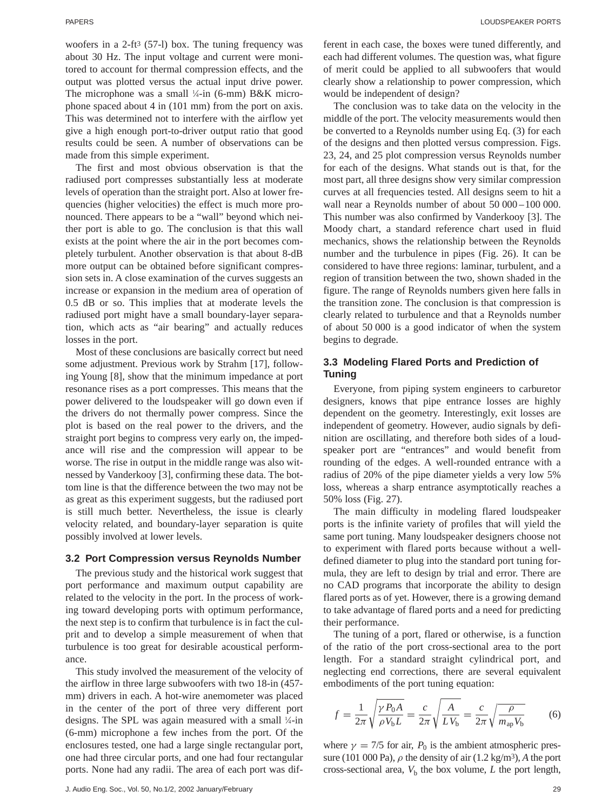woofers in a 2-ft3 (57-l) box. The tuning frequency was about 30 Hz. The input voltage and current were monitored to account for thermal compression effects, and the output was plotted versus the actual input drive power. The microphone was a small  $\frac{1}{4}$ -in (6-mm) B&K microphone spaced about 4 in (101 mm) from the port on axis. This was determined not to interfere with the airflow yet give a high enough port-to-driver output ratio that good results could be seen. A number of observations can be made from this simple experiment.

The first and most obvious observation is that the radiused port compresses substantially less at moderate levels of operation than the straight port. Also at lower frequencies (higher velocities) the effect is much more pronounced. There appears to be a "wall" beyond which neither port is able to go. The conclusion is that this wall exists at the point where the air in the port becomes completely turbulent. Another observation is that about 8-dB more output can be obtained before significant compression sets in. A close examination of the curves suggests an increase or expansion in the medium area of operation of 0.5 dB or so. This implies that at moderate levels the radiused port might have a small boundary-layer separation, which acts as "air bearing" and actually reduces losses in the port.

Most of these conclusions are basically correct but need some adjustment. Previous work by Strahm [17], following Young [8], show that the minimum impedance at port resonance rises as a port compresses. This means that the power delivered to the loudspeaker will go down even if the drivers do not thermally power compress. Since the plot is based on the real power to the drivers, and the straight port begins to compress very early on, the impedance will rise and the compression will appear to be worse. The rise in output in the middle range was also witnessed by Vanderkooy [3], confirming these data. The bottom line is that the difference between the two may not be as great as this experiment suggests, but the radiused port is still much better. Nevertheless, the issue is clearly velocity related, and boundary-layer separation is quite possibly involved at lower levels.

#### **3.2 Port Compression versus Reynolds Number**

The previous study and the historical work suggest that port performance and maximum output capability are related to the velocity in the port. In the process of working toward developing ports with optimum performance, the next step is to confirm that turbulence is in fact the culprit and to develop a simple measurement of when that turbulence is too great for desirable acoustical performance.

This study involved the measurement of the velocity of the airflow in three large subwoofers with two 18-in (457 mm) drivers in each. A hot-wire anemometer was placed in the center of the port of three very different port designs. The SPL was again measured with a small 1 ⁄4-in (6-mm) microphone a few inches from the port. Of the enclosures tested, one had a large single rectangular port, one had three circular ports, and one had four rectangular ports. None had any radii. The area of each port was different in each case, the boxes were tuned differently, and each had different volumes. The question was, what figure of merit could be applied to all subwoofers that would clearly show a relationship to power compression, which would be independent of design?

The conclusion was to take data on the velocity in the middle of the port. The velocity measurements would then be converted to a Reynolds number using Eq. (3) for each of the designs and then plotted versus compression. Figs. 23, 24, and 25 plot compression versus Reynolds number for each of the designs. What stands out is that, for the most part, all three designs show very similar compression curves at all frequencies tested. All designs seem to hit a wall near a Reynolds number of about 50 000 –100 000. This number was also confirmed by Vanderkooy [3]. The Moody chart, a standard reference chart used in fluid mechanics, shows the relationship between the Reynolds number and the turbulence in pipes (Fig. 26). It can be considered to have three regions: laminar, turbulent, and a region of transition between the two, shown shaded in the figure. The range of Reynolds numbers given here falls in the transition zone. The conclusion is that compression is clearly related to turbulence and that a Reynolds number of about 50 000 is a good indicator of when the system begins to degrade.

# **3.3 Modeling Flared Ports and Prediction of Tuning**

Everyone, from piping system engineers to carburetor designers, knows that pipe entrance losses are highly dependent on the geometry. Interestingly, exit losses are independent of geometry. However, audio signals by definition are oscillating, and therefore both sides of a loudspeaker port are "entrances" and would benefit from rounding of the edges. A well-rounded entrance with a radius of 20% of the pipe diameter yields a very low 5% loss, whereas a sharp entrance asymptotically reaches a 50% loss (Fig. 27).

The main difficulty in modeling flared loudspeaker ports is the infinite variety of profiles that will yield the same port tuning. Many loudspeaker designers choose not to experiment with flared ports because without a welldefined diameter to plug into the standard port tuning formula, they are left to design by trial and error. There are no CAD programs that incorporate the ability to design flared ports as of yet. However, there is a growing demand to take advantage of flared ports and a need for predicting their performance.

The tuning of a port, flared or otherwise, is a function of the ratio of the port cross-sectional area to the port length. For a standard straight cylindrical port, and neglecting end corrections, there are several equivalent embodiments of the port tuning equation:

$$
f = \frac{1}{2\pi} \sqrt{\frac{\gamma P_0 A}{\rho V_b L}} = \frac{c}{2\pi} \sqrt{\frac{A}{L V_b}} = \frac{c}{2\pi} \sqrt{\frac{\rho}{m_{\text{ap}} V_b}}
$$
(6)

where  $\gamma = 7/5$  for air,  $P_0$  is the ambient atmospheric pressure (101 000 Pa), ρ the density of air (1.2 kg/m3), *A* the port cross-sectional area,  $V<sub>b</sub>$  the box volume,  $L$  the port length,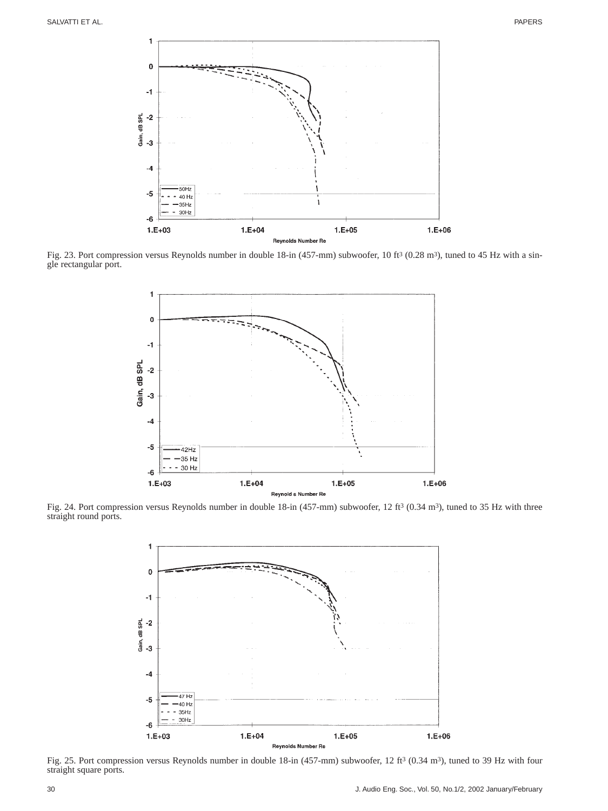

Fig. 23. Port compression versus Reynolds number in double 18-in (457-mm) subwoofer, 10 ft<sup>3</sup> (0.28 m<sup>3</sup>), tuned to 45 Hz with a single rectangular port.



Fig. 24. Port compression versus Reynolds number in double 18-in (457-mm) subwoofer, 12 ft3 (0.34 m3), tuned to 35 Hz with three straight round ports.



Fig. 25. Port compression versus Reynolds number in double 18-in (457-mm) subwoofer, 12 ft<sup>3</sup> (0.34 m<sup>3</sup>), tuned to 39 Hz with four straight square ports.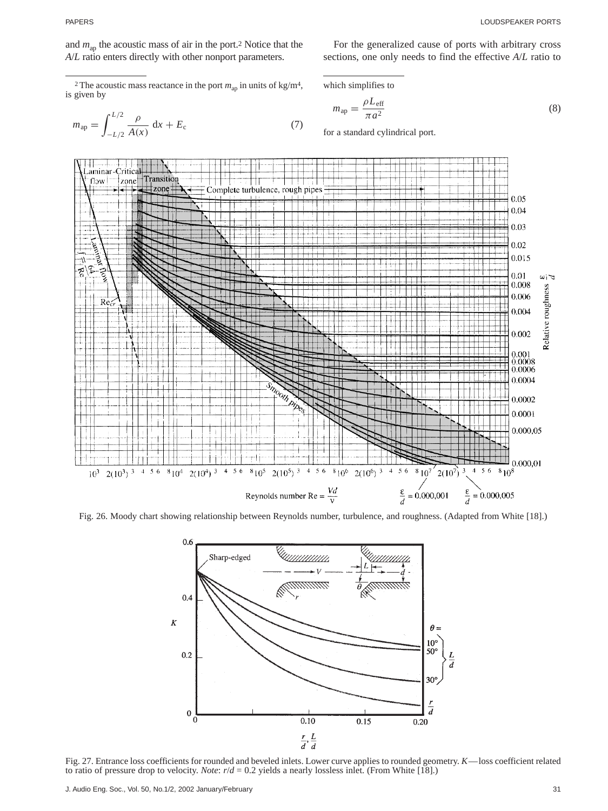and *m*ap the acoustic mass of air in the port.2 Notice that the *A*/*L* ratio enters directly with other nonport parameters.

<sup>2</sup> The acoustic mass reactance in the port  $m_{\text{ap}}$  in units of kg/m<sup>4</sup>, is given by

$$
m_{\rm ap} = \int_{-L/2}^{L/2} \frac{\rho}{A(x)} \, \mathrm{d}x + E_{\rm c} \tag{7}
$$

For the generalized cause of ports with arbitrary cross sections, one only needs to find the effective *A*/*L* ratio to

which simplifies to

$$
m_{\rm ap} = \frac{\rho L_{\rm eff}}{\pi a^2} \tag{8}
$$

for a standard cylindrical port.



Fig. 26. Moody chart showing relationship between Reynolds number, turbulence, and roughness. (Adapted from White [18].)



Fig. 27. Entrance loss coefficients for rounded and beveled inlets. Lower curve applies to rounded geometry. *K*—loss coefficient related to ratio of pressure drop to velocity. *Note*: *r*/*d* = 0.2 yields a nearly lossless inlet. (From White [18].)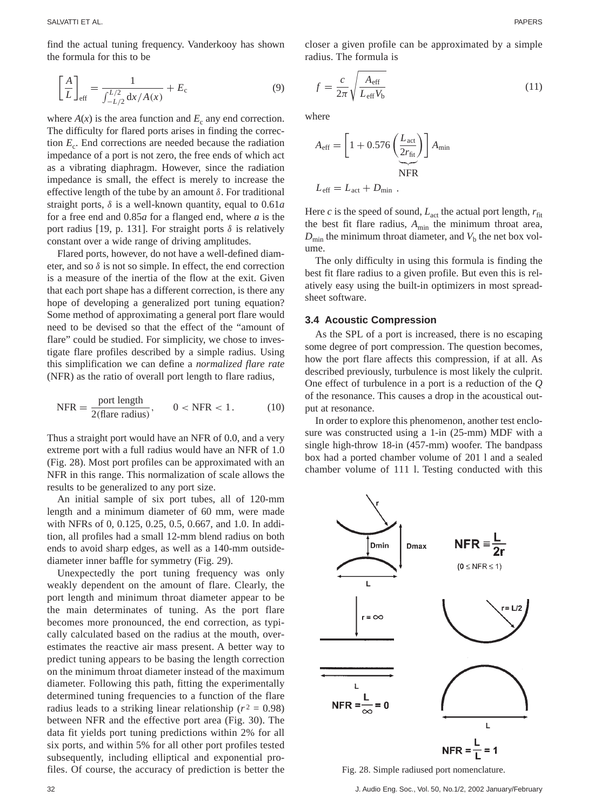find the actual tuning frequency. Vanderkooy has shown the formula for this to be

$$
\left[\frac{A}{L}\right]_{\text{eff}} = \frac{1}{\int_{-L/2}^{L/2} \frac{dx}{A(x)}} + E_{\text{c}}
$$
 (9)

where  $A(x)$  is the area function and  $E_c$  any end correction. The difficulty for flared ports arises in finding the correction  $E_c$ . End corrections are needed because the radiation impedance of a port is not zero, the free ends of which act as a vibrating diaphragm. However, since the radiation impedance is small, the effect is merely to increase the effective length of the tube by an amount  $\delta$ . For traditional straight ports, δ is a well-known quantity, equal to 0.61*a* for a free end and 0.85*a* for a flanged end, where *a* is the port radius [19, p. 131]. For straight ports  $\delta$  is relatively constant over a wide range of driving amplitudes.

Flared ports, however, do not have a well-defined diameter, and so  $\delta$  is not so simple. In effect, the end correction is a measure of the inertia of the flow at the exit. Given that each port shape has a different correction, is there any hope of developing a generalized port tuning equation? Some method of approximating a general port flare would need to be devised so that the effect of the "amount of flare" could be studied. For simplicity, we chose to investigate flare profiles described by a simple radius. Using this simplification we can define a *normalized flare rate* (NFR) as the ratio of overall port length to flare radius,

$$
NFR = \frac{\text{port length}}{2(\text{flare radius})}, \qquad 0 < NFR < 1. \tag{10}
$$

Thus a straight port would have an NFR of 0.0, and a very extreme port with a full radius would have an NFR of 1.0 (Fig. 28). Most port profiles can be approximated with an NFR in this range. This normalization of scale allows the results to be generalized to any port size.

An initial sample of six port tubes, all of 120-mm length and a minimum diameter of 60 mm, were made with NFRs of 0, 0.125, 0.25, 0.5, 0.667, and 1.0. In addition, all profiles had a small 12-mm blend radius on both ends to avoid sharp edges, as well as a 140-mm outsidediameter inner baffle for symmetry (Fig. 29).

Unexpectedly the port tuning frequency was only weakly dependent on the amount of flare. Clearly, the port length and minimum throat diameter appear to be the main determinates of tuning. As the port flare becomes more pronounced, the end correction, as typically calculated based on the radius at the mouth, overestimates the reactive air mass present. A better way to predict tuning appears to be basing the length correction on the minimum throat diameter instead of the maximum diameter. Following this path, fitting the experimentally determined tuning frequencies to a function of the flare radius leads to a striking linear relationship ( $r^2 = 0.98$ ) between NFR and the effective port area (Fig. 30). The data fit yields port tuning predictions within 2% for all six ports, and within 5% for all other port profiles tested subsequently, including elliptical and exponential profiles. Of course, the accuracy of prediction is better the

closer a given profile can be approximated by a simple radius. The formula is

$$
f = \frac{c}{2\pi} \sqrt{\frac{A_{\text{eff}}}{L_{\text{eff}} V_b}}
$$
(11)

where

$$
A_{\text{eff}} = \left[1 + 0.576 \left(\frac{L_{\text{act}}}{2r_{\text{fit}}}\right)\right] A_{\text{min}}
$$
  
NFR  

$$
L_{\text{eff}} = L_{\text{act}} + D_{\text{min}}.
$$

Here *c* is the speed of sound,  $L_{\text{act}}$  the actual port length,  $r_{\text{fit}}$ the best fit flare radius,  $A_{\text{min}}$  the minimum throat area,  $D_{\text{min}}$  the minimum throat diameter, and  $V<sub>b</sub>$  the net box volume.

The only difficulty in using this formula is finding the best fit flare radius to a given profile. But even this is relatively easy using the built-in optimizers in most spreadsheet software.

### **3.4 Acoustic Compression**

As the SPL of a port is increased, there is no escaping some degree of port compression. The question becomes, how the port flare affects this compression, if at all. As described previously, turbulence is most likely the culprit. One effect of turbulence in a port is a reduction of the *Q* of the resonance. This causes a drop in the acoustical output at resonance.

In order to explore this phenomenon, another test enclosure was constructed using a 1-in (25-mm) MDF with a single high-throw 18-in (457-mm) woofer. The bandpass box had a ported chamber volume of 201 l and a sealed chamber volume of 111 l. Testing conducted with this



Fig. 28. Simple radiused port nomenclature.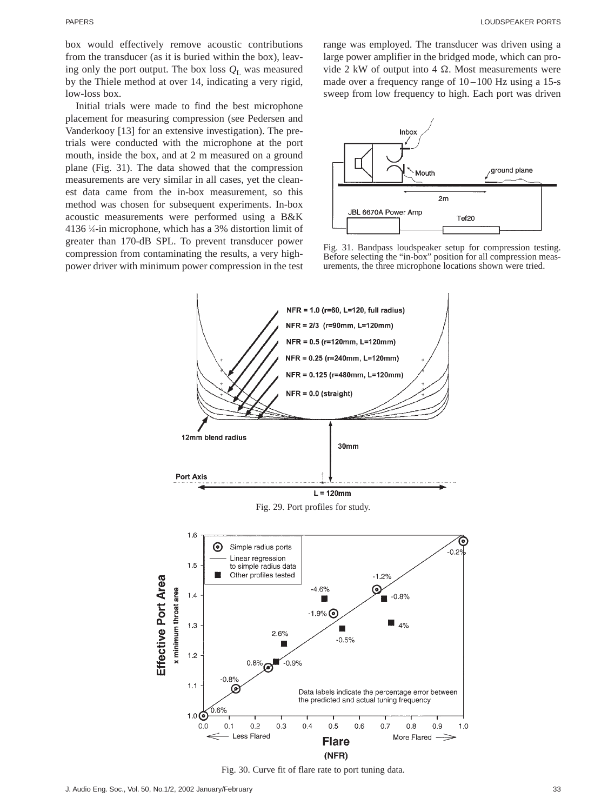box would effectively remove acoustic contributions from the transducer (as it is buried within the box), leaving only the port output. The box loss  $Q_L$  was measured by the Thiele method at over 14, indicating a very rigid, low-loss box.

Initial trials were made to find the best microphone placement for measuring compression (see Pedersen and Vanderkooy [13] for an extensive investigation). The pretrials were conducted with the microphone at the port mouth, inside the box, and at 2 m measured on a ground plane (Fig. 31). The data showed that the compression measurements are very similar in all cases, yet the cleanest data came from the in-box measurement, so this method was chosen for subsequent experiments. In-box acoustic measurements were performed using a B&K 4136 1 ⁄4-in microphone, which has a 3% distortion limit of greater than 170-dB SPL. To prevent transducer power compression from contaminating the results, a very highpower driver with minimum power compression in the test range was employed. The transducer was driven using a large power amplifier in the bridged mode, which can provide 2 kW of output into 4  $\Omega$ . Most measurements were made over a frequency range of 10 –100 Hz using a 15-s sweep from low frequency to high. Each port was driven



Fig. 31. Bandpass loudspeaker setup for compression testing. Before selecting the "in-box" position for all compression measurements, the three microphone locations shown were tried.



Fig. 30. Curve fit of flare rate to port tuning data.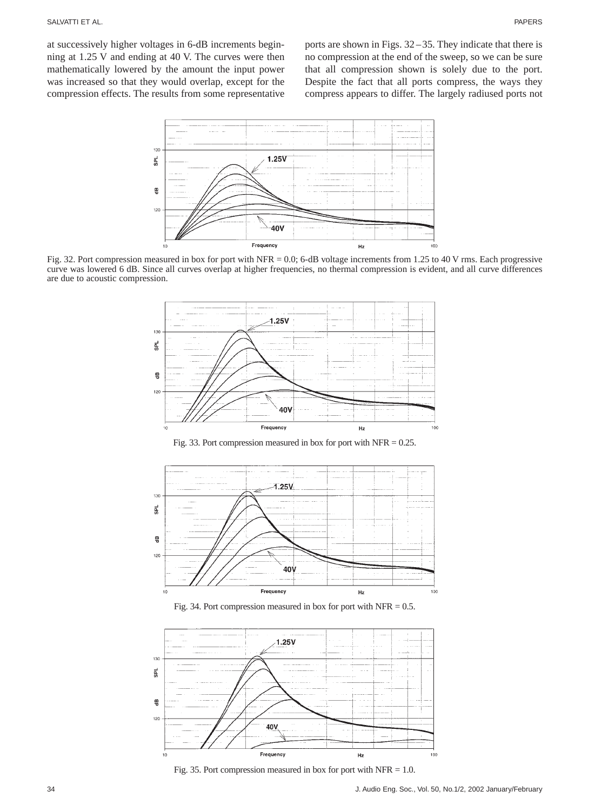at successively higher voltages in 6-dB increments beginning at 1.25 V and ending at 40 V. The curves were then mathematically lowered by the amount the input power was increased so that they would overlap, except for the compression effects. The results from some representative ports are shown in Figs. 32 –35. They indicate that there is no compression at the end of the sweep, so we can be sure that all compression shown is solely due to the port. Despite the fact that all ports compress, the ways they compress appears to differ. The largely radiused ports not



Fig. 32. Port compression measured in box for port with NFR = 0.0; 6-dB voltage increments from 1.25 to 40 V rms. Each progressive curve was lowered 6 dB. Since all curves overlap at higher frequencies, no thermal compression is evident, and all curve differences are due to acoustic compression.



Fig. 33. Port compression measured in box for port with NFR  $= 0.25$ .







Fig. 35. Port compression measured in box for port with  $NFR = 1.0$ .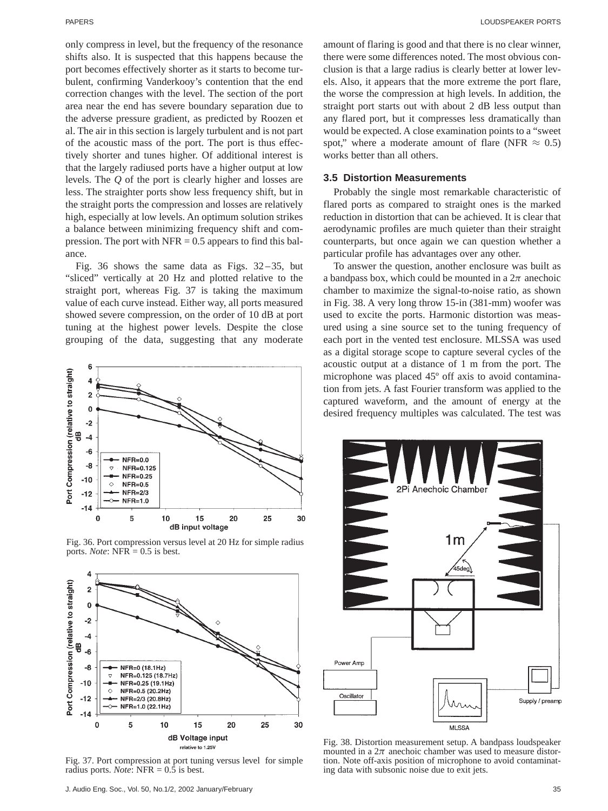only compress in level, but the frequency of the resonance shifts also. It is suspected that this happens because the port becomes effectively shorter as it starts to become turbulent, confirming Vanderkooy's contention that the end correction changes with the level. The section of the port area near the end has severe boundary separation due to the adverse pressure gradient, as predicted by Roozen et al. The air in this section is largely turbulent and is not part of the acoustic mass of the port. The port is thus effectively shorter and tunes higher. Of additional interest is that the largely radiused ports have a higher output at low levels. The *Q* of the port is clearly higher and losses are less. The straighter ports show less frequency shift, but in the straight ports the compression and losses are relatively high, especially at low levels. An optimum solution strikes a balance between minimizing frequency shift and compression. The port with  $NFR = 0.5$  appears to find this balance.

Fig. 36 shows the same data as Figs. 32 –35, but "sliced" vertically at 20 Hz and plotted relative to the straight port, whereas Fig. 37 is taking the maximum value of each curve instead. Either way, all ports measured showed severe compression, on the order of 10 dB at port tuning at the highest power levels. Despite the close grouping of the data, suggesting that any moderate



Fig. 36. Port compression versus level at 20 Hz for simple radius ports. *Note*: NFR = 0.5 is best.



Fig. 37. Port compression at port tuning versus level for simple radius ports. *Note*: NFR = 0.5 is best.

amount of flaring is good and that there is no clear winner, there were some differences noted. The most obvious conclusion is that a large radius is clearly better at lower levels. Also, it appears that the more extreme the port flare, the worse the compression at high levels. In addition, the straight port starts out with about 2 dB less output than any flared port, but it compresses less dramatically than would be expected. A close examination points to a "sweet spot," where a moderate amount of flare (NFR  $\approx 0.5$ ) works better than all others.

### **3.5 Distortion Measurements**

Probably the single most remarkable characteristic of flared ports as compared to straight ones is the marked reduction in distortion that can be achieved. It is clear that aerodynamic profiles are much quieter than their straight counterparts, but once again we can question whether a particular profile has advantages over any other.

To answer the question, another enclosure was built as a bandpass box, which could be mounted in a  $2\pi$  anechoic chamber to maximize the signal-to-noise ratio, as shown in Fig. 38. A very long throw 15-in (381-mm) woofer was used to excite the ports. Harmonic distortion was measured using a sine source set to the tuning frequency of each port in the vented test enclosure. MLSSA was used as a digital storage scope to capture several cycles of the acoustic output at a distance of 1 m from the port. The microphone was placed 45º off axis to avoid contamination from jets. A fast Fourier transform was applied to the captured waveform, and the amount of energy at the desired frequency multiples was calculated. The test was



Fig. 38. Distortion measurement setup. A bandpass loudspeaker mounted in a  $2\pi$  anechoic chamber was used to measure distortion. Note off-axis position of microphone to avoid contaminating data with subsonic noise due to exit jets.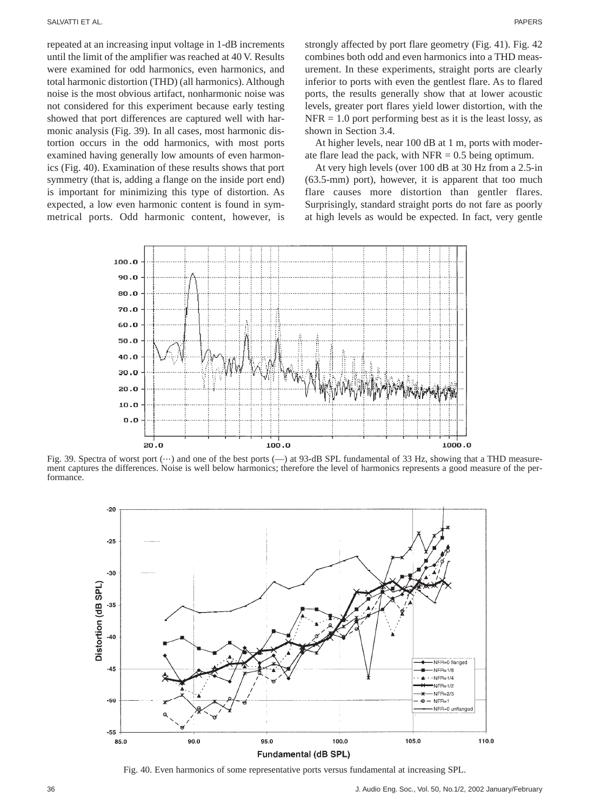repeated at an increasing input voltage in 1-dB increments until the limit of the amplifier was reached at 40 V. Results were examined for odd harmonics, even harmonics, and total harmonic distortion (THD) (all harmonics). Although noise is the most obvious artifact, nonharmonic noise was not considered for this experiment because early testing showed that port differences are captured well with harmonic analysis (Fig. 39). In all cases, most harmonic distortion occurs in the odd harmonics, with most ports examined having generally low amounts of even harmonics (Fig. 40). Examination of these results shows that port symmetry (that is, adding a flange on the inside port end) is important for minimizing this type of distortion. As expected, a low even harmonic content is found in symmetrical ports. Odd harmonic content, however, is strongly affected by port flare geometry (Fig. 41). Fig. 42 combines both odd and even harmonics into a THD measurement. In these experiments, straight ports are clearly inferior to ports with even the gentlest flare. As to flared ports, the results generally show that at lower acoustic levels, greater port flares yield lower distortion, with the  $NFR = 1.0$  port performing best as it is the least lossy, as shown in Section 3.4.

At higher levels, near 100 dB at 1 m, ports with moderate flare lead the pack, with  $NFR = 0.5$  being optimum.

At very high levels (over 100 dB at 30 Hz from a 2.5-in (63.5-mm) port), however, it is apparent that too much flare causes more distortion than gentler flares. Surprisingly, standard straight ports do not fare as poorly at high levels as would be expected. In fact, very gentle



Fig. 39. Spectra of worst port  $(\cdots)$  and one of the best ports  $(-)$  at 93-dB SPL fundamental of 33 Hz, showing that a THD measurement captures the differences. Noise is well below harmonics; therefore the level of harmonics represents a good measure of the performance.



Fig. 40. Even harmonics of some representative ports versus fundamental at increasing SPL.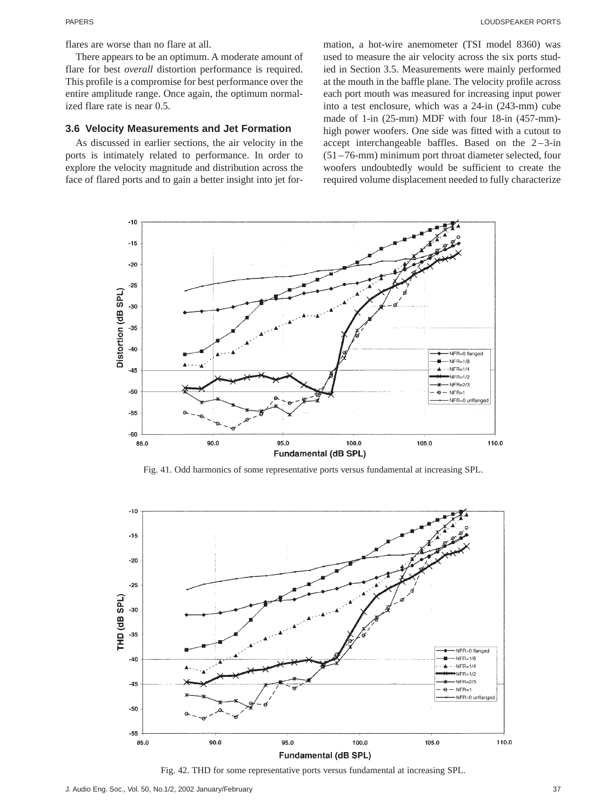flares are worse than no flare at all.

There appears to be an optimum. A moderate amount of flare for best *overall* distortion performance is required. This profile is a compromise for best performance over the entire amplitude range. Once again, the optimum normalized flare rate is near 0.5.

### **3.6 Velocity Measurements and Jet Formation**

As discussed in earlier sections, the air velocity in the ports is intimately related to performance. In order to explore the velocity magnitude and distribution across the face of flared ports and to gain a better insight into jet formation, a hot-wire anemometer (TSI model 8360) was used to measure the air velocity across the six ports studied in Section 3.5. Measurements were mainly performed at the mouth in the baffle plane. The velocity profile across each port mouth was measured for increasing input power into a test enclosure, which was a 24-in (243-mm) cube made of 1-in (25-mm) MDF with four 18-in (457-mm) high power woofers. One side was fitted with a cutout to accept interchangeable baffles. Based on the  $2-3$ -in (51 –76-mm) minimum port throat diameter selected, four woofers undoubtedly would be sufficient to create the required volume displacement needed to fully characterize



Fig. 41. Odd harmonics of some representative ports versus fundamental at increasing SPL.



Fig. 42. THD for some representative ports versus fundamental at increasing SPL.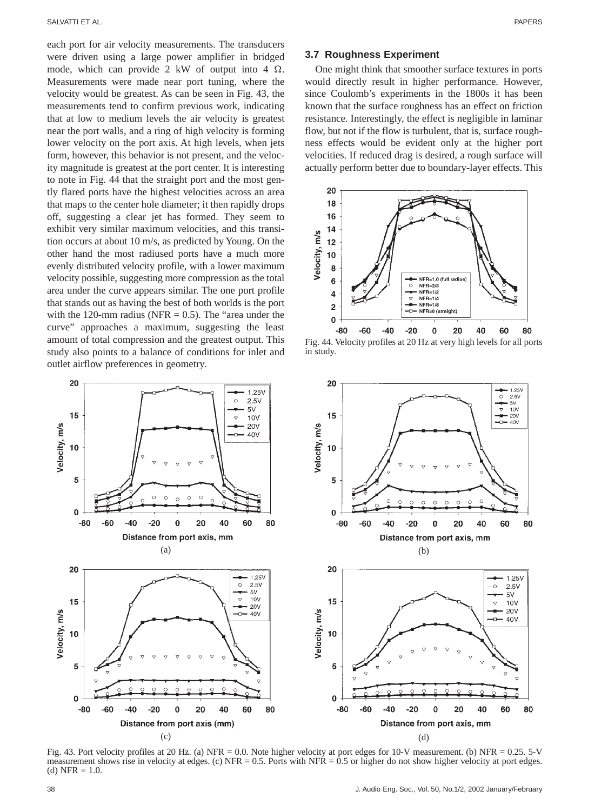each port for air velocity measurements. The transducers were driven using a large power amplifier in bridged mode, which can provide 2 kW of output into 4  $\Omega$ . Measurements were made near port tuning, where the velocity would be greatest. As can be seen in Fig. 43, the measurements tend to confirm previous work, indicating that at low to medium levels the air velocity is greatest near the port walls, and a ring of high velocity is forming lower velocity on the port axis. At high levels, when jets form, however, this behavior is not present, and the velocity magnitude is greatest at the port center. It is interesting to note in Fig. 44 that the straight port and the most gently flared ports have the highest velocities across an area that maps to the center hole diameter; it then rapidly drops off, suggesting a clear jet has formed. They seem to exhibit very similar maximum velocities, and this transition occurs at about 10 m/s, as predicted by Young. On the other hand the most radiused ports have a much more evenly distributed velocity profile, with a lower maximum velocity possible, suggesting more compression as the total area under the curve appears similar. The one port profile that stands out as having the best of both worlds is the port with the 120-mm radius (NFR  $= 0.5$ ). The "area under the curve" approaches a maximum, suggesting the least amount of total compression and the greatest output. This study also points to a balance of conditions for inlet and outlet airflow preferences in geometry.



# **3.7 Roughness Experiment**

One might think that smoother surface textures in ports would directly result in higher performance. However, since Coulomb's experiments in the 1800s it has been known that the surface roughness has an effect on friction resistance. Interestingly, the effect is negligible in laminar flow, but not if the flow is turbulent, that is, surface roughness effects would be evident only at the higher port velocities. If reduced drag is desired, a rough surface will actually perform better due to boundary-layer effects. This



Fig. 44. Velocity profiles at 20 Hz at very high levels for all ports in study.



Fig. 43. Port velocity profiles at 20 Hz. (a) NFR = 0.0. Note higher velocity at port edges for 10-V measurement. (b) NFR = 0.25. 5-V measurement shows rise in velocity at edges. (c) NFR = 0.5. Ports with NFR =  $0.5$  or higher do not show higher velocity at port edges. (d) NFR  $= 1.0$ .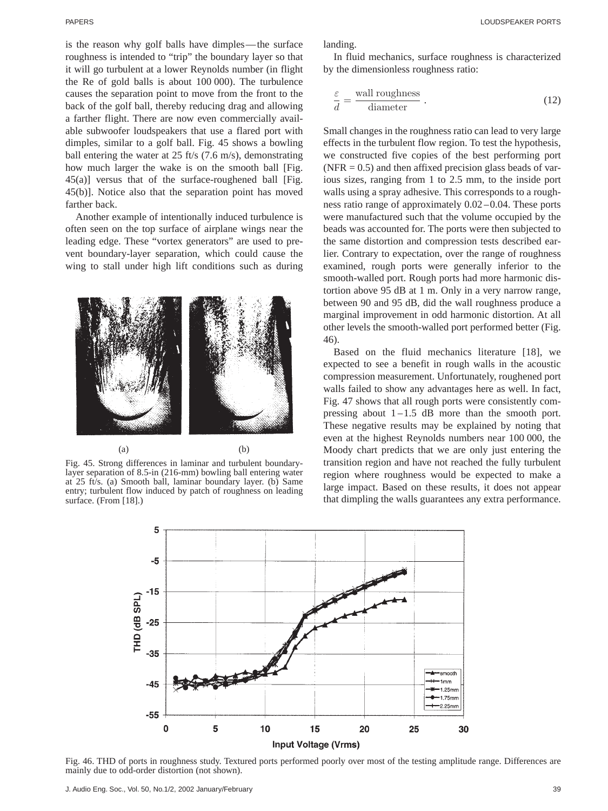is the reason why golf balls have dimples—the surface roughness is intended to "trip" the boundary layer so that it will go turbulent at a lower Reynolds number (in flight the Re of gold balls is about 100 000). The turbulence causes the separation point to move from the front to the back of the golf ball, thereby reducing drag and allowing a farther flight. There are now even commercially available subwoofer loudspeakers that use a flared port with dimples, similar to a golf ball. Fig. 45 shows a bowling ball entering the water at 25 ft/s (7.6 m/s), demonstrating how much larger the wake is on the smooth ball [Fig. 45(a)] versus that of the surface-roughened ball [Fig. 45(b)]. Notice also that the separation point has moved farther back.

Another example of intentionally induced turbulence is often seen on the top surface of airplane wings near the leading edge. These "vortex generators" are used to prevent boundary-layer separation, which could cause the wing to stall under high lift conditions such as during



Fig. 45. Strong differences in laminar and turbulent boundarylayer separation of 8.5-in (216-mm) bowling ball entering water at 25 ft/s. (a) Smooth ball, laminar boundary layer. (b) Same entry; turbulent flow induced by patch of roughness on leading surface. (From [18].)

landing.

In fluid mechanics, surface roughness is characterized by the dimensionless roughness ratio:

$$
\frac{\varepsilon}{d} = \frac{\text{wall roughness}}{\text{diameter}} \,. \tag{12}
$$

Small changes in the roughness ratio can lead to very large effects in the turbulent flow region. To test the hypothesis, we constructed five copies of the best performing port  $(NFR = 0.5)$  and then affixed precision glass beads of various sizes, ranging from 1 to 2.5 mm, to the inside port walls using a spray adhesive. This corresponds to a roughness ratio range of approximately  $0.02 - 0.04$ . These ports were manufactured such that the volume occupied by the beads was accounted for. The ports were then subjected to the same distortion and compression tests described earlier. Contrary to expectation, over the range of roughness examined, rough ports were generally inferior to the smooth-walled port. Rough ports had more harmonic distortion above 95 dB at 1 m. Only in a very narrow range, between 90 and 95 dB, did the wall roughness produce a marginal improvement in odd harmonic distortion. At all other levels the smooth-walled port performed better (Fig. 46).

Based on the fluid mechanics literature [18], we expected to see a benefit in rough walls in the acoustic compression measurement. Unfortunately, roughened port walls failed to show any advantages here as well. In fact, Fig. 47 shows that all rough ports were consistently compressing about  $1 - 1.5$  dB more than the smooth port. These negative results may be explained by noting that even at the highest Reynolds numbers near 100 000, the Moody chart predicts that we are only just entering the transition region and have not reached the fully turbulent region where roughness would be expected to make a large impact. Based on these results, it does not appear that dimpling the walls guarantees any extra performance.



Fig. 46. THD of ports in roughness study. Textured ports performed poorly over most of the testing amplitude range. Differences are mainly due to odd-order distortion (not shown).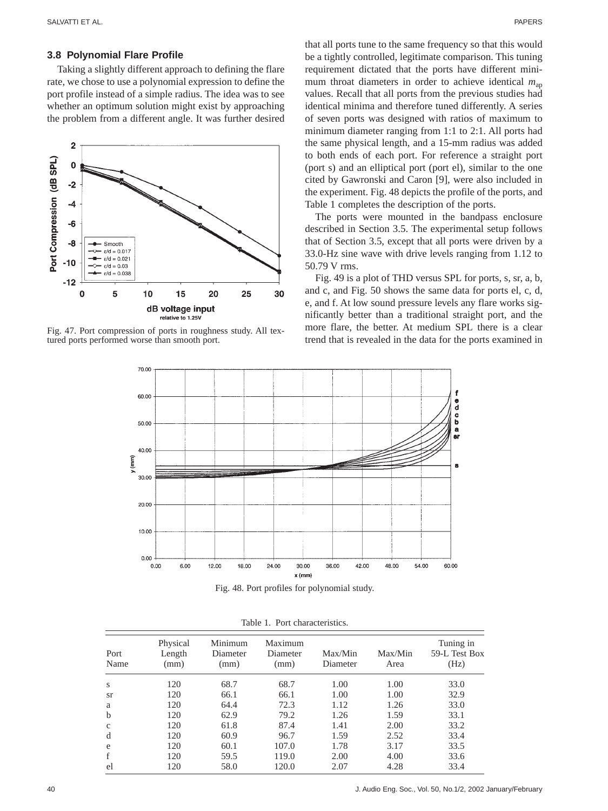#### **3.8 Polynomial Flare Profile**

Taking a slightly different approach to defining the flare rate, we chose to use a polynomial expression to define the port profile instead of a simple radius. The idea was to see whether an optimum solution might exist by approaching the problem from a different angle. It was further desired



Fig. 47. Port compression of ports in roughness study. All textured ports performed worse than smooth port.

that all ports tune to the same frequency so that this would be a tightly controlled, legitimate comparison. This tuning requirement dictated that the ports have different minimum throat diameters in order to achieve identical  $m_{\text{ap}}$ values. Recall that all ports from the previous studies had identical minima and therefore tuned differently. A series of seven ports was designed with ratios of maximum to minimum diameter ranging from 1:1 to 2:1. All ports had the same physical length, and a 15-mm radius was added to both ends of each port. For reference a straight port (port s) and an elliptical port (port el), similar to the one cited by Gawronski and Caron [9], were also included in the experiment. Fig. 48 depicts the profile of the ports, and Table 1 completes the description of the ports.

The ports were mounted in the bandpass enclosure described in Section 3.5. The experimental setup follows that of Section 3.5, except that all ports were driven by a 33.0-Hz sine wave with drive levels ranging from 1.12 to 50.79 V rms.

Fig. 49 is a plot of THD versus SPL for ports, s, sr, a, b, and c, and Fig. 50 shows the same data for ports el, c, d, e, and f. At low sound pressure levels any flare works significantly better than a traditional straight port, and the more flare, the better. At medium SPL there is a clear trend that is revealed in the data for the ports examined in



Fig. 48. Port profiles for polynomial study.

| Port<br>Name | Physical<br>Length<br>(mm) | Minimum<br>Diameter<br>(mm) | Maximum<br>Diameter<br>(mm) | Max/Min<br>Diameter | Max/Min<br>Area | Tuning in<br>59-L Test Box<br>(Hz) |
|--------------|----------------------------|-----------------------------|-----------------------------|---------------------|-----------------|------------------------------------|
| S            | 120                        | 68.7                        | 68.7                        | 1.00                | 1.00            | 33.0                               |
| <b>Sr</b>    | 120                        | 66.1                        | 66.1                        | 1.00                | 1.00            | 32.9                               |
| a            | 120                        | 64.4                        | 72.3                        | 1.12                | 1.26            | 33.0                               |
| b            | 120                        | 62.9                        | 79.2                        | 1.26                | 1.59            | 33.1                               |
| $\mathbf{c}$ | 120                        | 61.8                        | 87.4                        | 1.41                | 2.00            | 33.2                               |
| d            | 120                        | 60.9                        | 96.7                        | 1.59                | 2.52            | 33.4                               |
| e            | 120                        | 60.1                        | 107.0                       | 1.78                | 3.17            | 33.5                               |
| f            | 120                        | 59.5                        | 119.0                       | 2.00                | 4.00            | 33.6                               |
| el           | 120                        | 58.0                        | 120.0                       | 2.07                | 4.28            | 33.4                               |

Table 1. Port characteristics.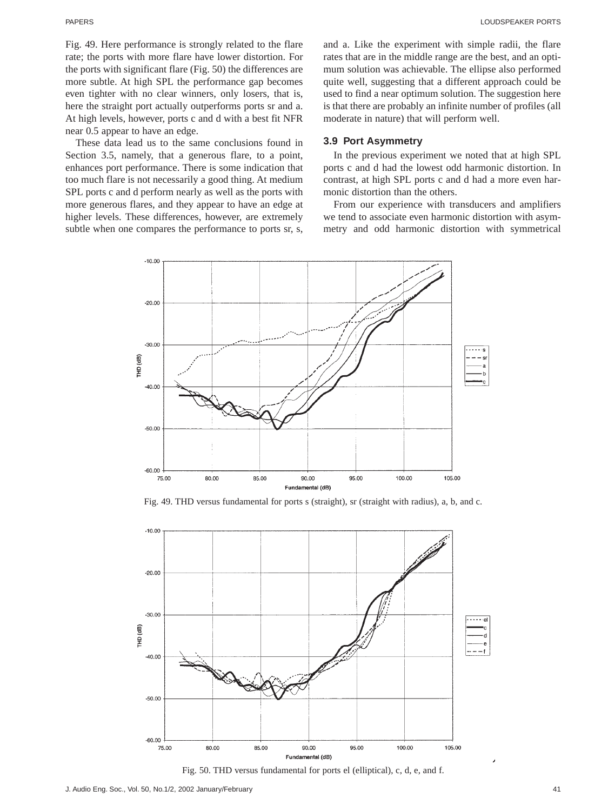Fig. 49. Here performance is strongly related to the flare rate; the ports with more flare have lower distortion. For the ports with significant flare (Fig. 50) the differences are more subtle. At high SPL the performance gap becomes even tighter with no clear winners, only losers, that is, here the straight port actually outperforms ports sr and a. At high levels, however, ports c and d with a best fit NFR near 0.5 appear to have an edge.

These data lead us to the same conclusions found in Section 3.5, namely, that a generous flare, to a point, enhances port performance. There is some indication that too much flare is not necessarily a good thing. At medium SPL ports c and d perform nearly as well as the ports with more generous flares, and they appear to have an edge at higher levels. These differences, however, are extremely subtle when one compares the performance to ports sr, s, and a. Like the experiment with simple radii, the flare rates that are in the middle range are the best, and an optimum solution was achievable. The ellipse also performed quite well, suggesting that a different approach could be used to find a near optimum solution. The suggestion here is that there are probably an infinite number of profiles (all moderate in nature) that will perform well.

### **3.9 Port Asymmetry**

In the previous experiment we noted that at high SPL ports c and d had the lowest odd harmonic distortion. In contrast, at high SPL ports c and d had a more even harmonic distortion than the others.

From our experience with transducers and amplifiers we tend to associate even harmonic distortion with asymmetry and odd harmonic distortion with symmetrical



Fig. 49. THD versus fundamental for ports s (straight), sr (straight with radius), a, b, and c.



Fig. 50. THD versus fundamental for ports el (elliptical), c, d, e, and f.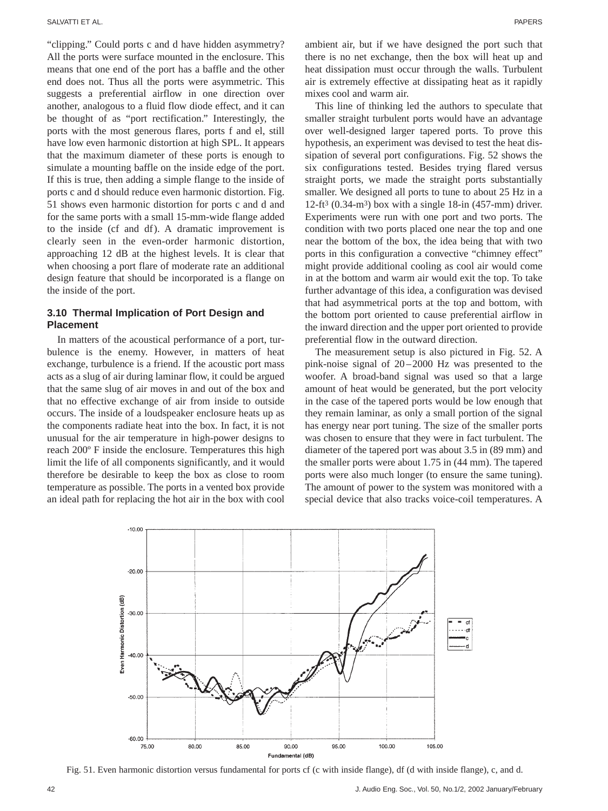"clipping." Could ports c and d have hidden asymmetry? All the ports were surface mounted in the enclosure. This means that one end of the port has a baffle and the other end does not. Thus all the ports were asymmetric. This suggests a preferential airflow in one direction over another, analogous to a fluid flow diode effect, and it can be thought of as "port rectification." Interestingly, the ports with the most generous flares, ports f and el, still have low even harmonic distortion at high SPL. It appears that the maximum diameter of these ports is enough to simulate a mounting baffle on the inside edge of the port. If this is true, then adding a simple flange to the inside of ports c and d should reduce even harmonic distortion. Fig. 51 shows even harmonic distortion for ports c and d and for the same ports with a small 15-mm-wide flange added to the inside (cf and df). A dramatic improvement is clearly seen in the even-order harmonic distortion, approaching 12 dB at the highest levels. It is clear that when choosing a port flare of moderate rate an additional design feature that should be incorporated is a flange on the inside of the port.

# **3.10 Thermal Implication of Port Design and Placement**

In matters of the acoustical performance of a port, turbulence is the enemy. However, in matters of heat exchange, turbulence is a friend. If the acoustic port mass acts as a slug of air during laminar flow, it could be argued that the same slug of air moves in and out of the box and that no effective exchange of air from inside to outside occurs. The inside of a loudspeaker enclosure heats up as the components radiate heat into the box. In fact, it is not unusual for the air temperature in high-power designs to reach 200º F inside the enclosure. Temperatures this high limit the life of all components significantly, and it would therefore be desirable to keep the box as close to room temperature as possible. The ports in a vented box provide an ideal path for replacing the hot air in the box with cool ambient air, but if we have designed the port such that there is no net exchange, then the box will heat up and heat dissipation must occur through the walls. Turbulent air is extremely effective at dissipating heat as it rapidly mixes cool and warm air.

This line of thinking led the authors to speculate that smaller straight turbulent ports would have an advantage over well-designed larger tapered ports. To prove this hypothesis, an experiment was devised to test the heat dissipation of several port configurations. Fig. 52 shows the six configurations tested. Besides trying flared versus straight ports, we made the straight ports substantially smaller. We designed all ports to tune to about 25 Hz in a 12-ft<sup>3</sup> (0.34-m<sup>3</sup>) box with a single 18-in (457-mm) driver. Experiments were run with one port and two ports. The condition with two ports placed one near the top and one near the bottom of the box, the idea being that with two ports in this configuration a convective "chimney effect" might provide additional cooling as cool air would come in at the bottom and warm air would exit the top. To take further advantage of this idea, a configuration was devised that had asymmetrical ports at the top and bottom, with the bottom port oriented to cause preferential airflow in the inward direction and the upper port oriented to provide preferential flow in the outward direction.

The measurement setup is also pictured in Fig. 52. A pink-noise signal of 20 –2000 Hz was presented to the woofer. A broad-band signal was used so that a large amount of heat would be generated, but the port velocity in the case of the tapered ports would be low enough that they remain laminar, as only a small portion of the signal has energy near port tuning. The size of the smaller ports was chosen to ensure that they were in fact turbulent. The diameter of the tapered port was about 3.5 in (89 mm) and the smaller ports were about 1.75 in (44 mm). The tapered ports were also much longer (to ensure the same tuning). The amount of power to the system was monitored with a special device that also tracks voice-coil temperatures. A



Fig. 51. Even harmonic distortion versus fundamental for ports cf (c with inside flange), df (d with inside flange), c, and d.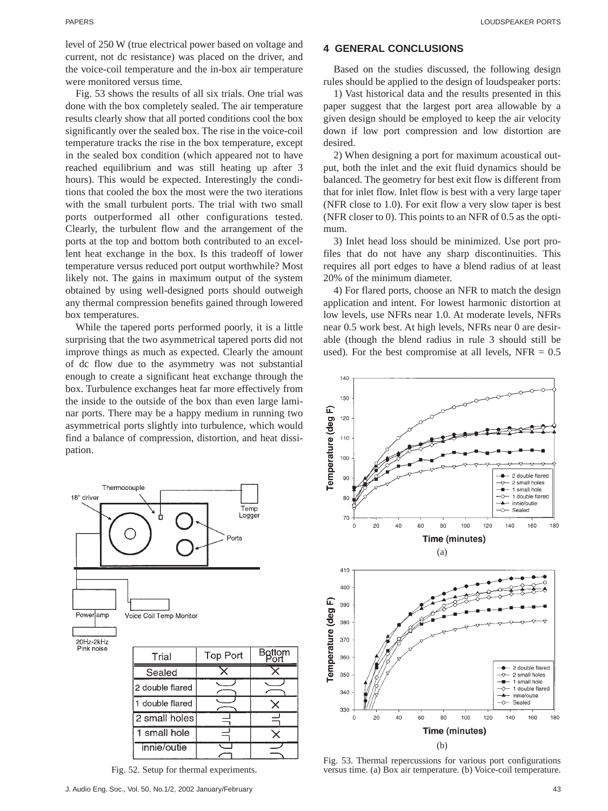level of 250 W (true electrical power based on voltage and current, not dc resistance) was placed on the driver, and the voice-coil temperature and the in-box air temperature were monitored versus time.

Fig. 53 shows the results of all six trials. One trial was done with the box completely sealed. The air temperature results clearly show that all ported conditions cool the box significantly over the sealed box. The rise in the voice-coil temperature tracks the rise in the box temperature, except in the sealed box condition (which appeared not to have reached equilibrium and was still heating up after 3 hours). This would be expected. Interestingly the conditions that cooled the box the most were the two iterations with the small turbulent ports. The trial with two small ports outperformed all other configurations tested. Clearly, the turbulent flow and the arrangement of the ports at the top and bottom both contributed to an excellent heat exchange in the box. Is this tradeoff of lower temperature versus reduced port output worthwhile? Most likely not. The gains in maximum output of the system obtained by using well-designed ports should outweigh any thermal compression benefits gained through lowered box temperatures.

While the tapered ports performed poorly, it is a little surprising that the two asymmetrical tapered ports did not improve things as much as expected. Clearly the amount of dc flow due to the asymmetry was not substantial enough to create a significant heat exchange through the box. Turbulence exchanges heat far more effectively from the inside to the outside of the box than even large laminar ports. There may be a happy medium in running two asymmetrical ports slightly into turbulence, which would find a balance of compression, distortion, and heat dissipation.



Fig. 52. Setup for thermal experiments.

# **4 GENERAL CONCLUSIONS**

Based on the studies discussed, the following design rules should be applied to the design of loudspeaker ports:

1) Vast historical data and the results presented in this paper suggest that the largest port area allowable by a given design should be employed to keep the air velocity down if low port compression and low distortion are desired.

2) When designing a port for maximum acoustical output, both the inlet and the exit fluid dynamics should be balanced. The geometry for best exit flow is different from that for inlet flow. Inlet flow is best with a very large taper (NFR close to 1.0). For exit flow a very slow taper is best (NFR closer to 0). This points to an NFR of 0.5 as the optimum.

3) Inlet head loss should be minimized. Use port profiles that do not have any sharp discontinuities. This requires all port edges to have a blend radius of at least 20% of the minimum diameter.

4) For flared ports, choose an NFR to match the design application and intent. For lowest harmonic distortion at low levels, use NFRs near 1.0. At moderate levels, NFRs near 0.5 work best. At high levels, NFRs near 0 are desirable (though the blend radius in rule 3 should still be used). For the best compromise at all levels,  $NFR = 0.5$ 



Fig. 53. Thermal repercussions for various port configurations versus time. (a) Box air temperature. (b) Voice-coil temperature.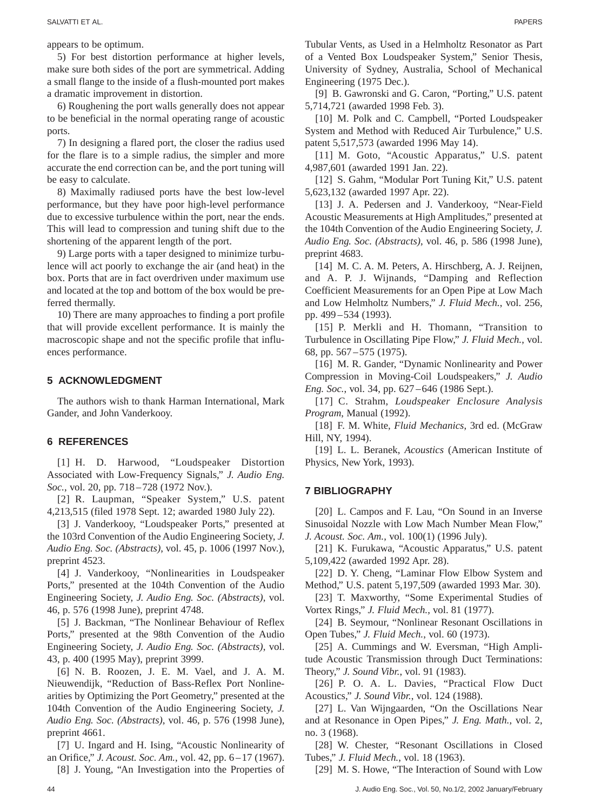appears to be optimum.

5) For best distortion performance at higher levels, make sure both sides of the port are symmetrical. Adding a small flange to the inside of a flush-mounted port makes a dramatic improvement in distortion.

6) Roughening the port walls generally does not appear to be beneficial in the normal operating range of acoustic ports.

7) In designing a flared port, the closer the radius used for the flare is to a simple radius, the simpler and more accurate the end correction can be, and the port tuning will be easy to calculate.

8) Maximally radiused ports have the best low-level performance, but they have poor high-level performance due to excessive turbulence within the port, near the ends. This will lead to compression and tuning shift due to the shortening of the apparent length of the port.

9) Large ports with a taper designed to minimize turbulence will act poorly to exchange the air (and heat) in the box. Ports that are in fact overdriven under maximum use and located at the top and bottom of the box would be preferred thermally.

10) There are many approaches to finding a port profile that will provide excellent performance. It is mainly the macroscopic shape and not the specific profile that influences performance.

# **5 ACKNOWLEDGMENT**

The authors wish to thank Harman International, Mark Gander, and John Vanderkooy.

# **6 REFERENCES**

[1] H. D. Harwood, "Loudspeaker Distortion Associated with Low-Frequency Signals," *J. Audio Eng. Soc.*, vol. 20, pp. 718 –728 (1972 Nov.).

[2] R. Laupman, "Speaker System," U.S. patent 4,213,515 (filed 1978 Sept. 12; awarded 1980 July 22).

[3] J. Vanderkooy, "Loudspeaker Ports," presented at the 103rd Convention of the Audio Engineering Society, *J. Audio Eng. Soc. (Abstracts)*, vol. 45, p. 1006 (1997 Nov.), preprint 4523.

[4] J. Vanderkooy, "Nonlinearities in Loudspeaker Ports," presented at the 104th Convention of the Audio Engineering Society, *J. Audio Eng. Soc. (Abstracts)*, vol. 46, p. 576 (1998 June), preprint 4748.

[5] J. Backman, "The Nonlinear Behaviour of Reflex Ports," presented at the 98th Convention of the Audio Engineering Society, *J. Audio Eng. Soc. (Abstracts)*, vol. 43, p. 400 (1995 May), preprint 3999.

[6] N. B. Roozen, J. E. M. Vael, and J. A. M. Nieuwendijk, "Reduction of Bass-Reflex Port Nonlinearities by Optimizing the Port Geometry," presented at the 104th Convention of the Audio Engineering Society, *J. Audio Eng. Soc. (Abstracts)*, vol. 46, p. 576 (1998 June), preprint 4661.

[7] U. Ingard and H. Ising, "Acoustic Nonlinearity of an Orifice," *J. Acoust. Soc. Am.*, vol. 42, pp. 6 –17 (1967). [8] J. Young, "An Investigation into the Properties of Tubular Vents, as Used in a Helmholtz Resonator as Part of a Vented Box Loudspeaker System," Senior Thesis, University of Sydney, Australia, School of Mechanical Engineering (1975 Dec.).

[9] B. Gawronski and G. Caron, "Porting," U.S. patent 5,714,721 (awarded 1998 Feb. 3).

[10] M. Polk and C. Campbell, "Ported Loudspeaker System and Method with Reduced Air Turbulence," U.S. patent 5,517,573 (awarded 1996 May 14).

[11] M. Goto, "Acoustic Apparatus," U.S. patent 4,987,601 (awarded 1991 Jan. 22).

[12] S. Gahm, "Modular Port Tuning Kit," U.S. patent 5,623,132 (awarded 1997 Apr. 22).

[13] J. A. Pedersen and J. Vanderkooy, "Near-Field Acoustic Measurements at High Amplitudes," presented at the 104th Convention of the Audio Engineering Society, *J. Audio Eng. Soc. (Abstracts)*, vol. 46, p. 586 (1998 June), preprint 4683.

[14] M. C. A. M. Peters, A. Hirschberg, A. J. Reijnen, and A. P. J. Wijnands, "Damping and Reflection Coefficient Measurements for an Open Pipe at Low Mach and Low Helmholtz Numbers," *J. Fluid Mech.*, vol. 256, pp. 499 –534 (1993).

[15] P. Merkli and H. Thomann, "Transition to Turbulence in Oscillating Pipe Flow," *J. Fluid Mech.*, vol. 68, pp. 567 –575 (1975).

[16] M. R. Gander, "Dynamic Nonlinearity and Power Compression in Moving-Coil Loudspeakers," *J. Audio Eng. Soc.*, vol. 34, pp. 627 –646 (1986 Sept.).

[17] C. Strahm, *Loudspeaker Enclosure Analysis Program*, Manual (1992).

[18] F. M. White, *Fluid Mechanics*, 3rd ed. (McGraw Hill, NY, 1994).

[19] L. L. Beranek, *Acoustics* (American Institute of Physics, New York, 1993).

# **7 BIBLIOGRAPHY**

[20] L. Campos and F. Lau, "On Sound in an Inverse Sinusoidal Nozzle with Low Mach Number Mean Flow," *J. Acoust. Soc. Am.*, vol. 100(1) (1996 July).

[21] K. Furukawa, "Acoustic Apparatus," U.S. patent 5,109,422 (awarded 1992 Apr. 28).

[22] D. Y. Cheng, "Laminar Flow Elbow System and Method," U.S. patent 5,197,509 (awarded 1993 Mar. 30).

[23] T. Maxworthy, "Some Experimental Studies of Vortex Rings," *J. Fluid Mech.*, vol. 81 (1977).

[24] B. Seymour, "Nonlinear Resonant Oscillations in Open Tubes," *J. Fluid Mech.*, vol. 60 (1973).

[25] A. Cummings and W. Eversman, "High Amplitude Acoustic Transmission through Duct Terminations: Theory," *J. Sound Vibr.*, vol. 91 (1983).

[26] P. O. A. L. Davies, "Practical Flow Duct Acoustics," *J. Sound Vibr.*, vol. 124 (1988).

[27] L. Van Wijngaarden, "On the Oscillations Near and at Resonance in Open Pipes," *J. Eng. Math.*, vol. 2, no. 3 (1968).

[28] W. Chester, "Resonant Oscillations in Closed Tubes," *J. Fluid Mech.*, vol. 18 (1963).

[29] M. S. Howe, "The Interaction of Sound with Low